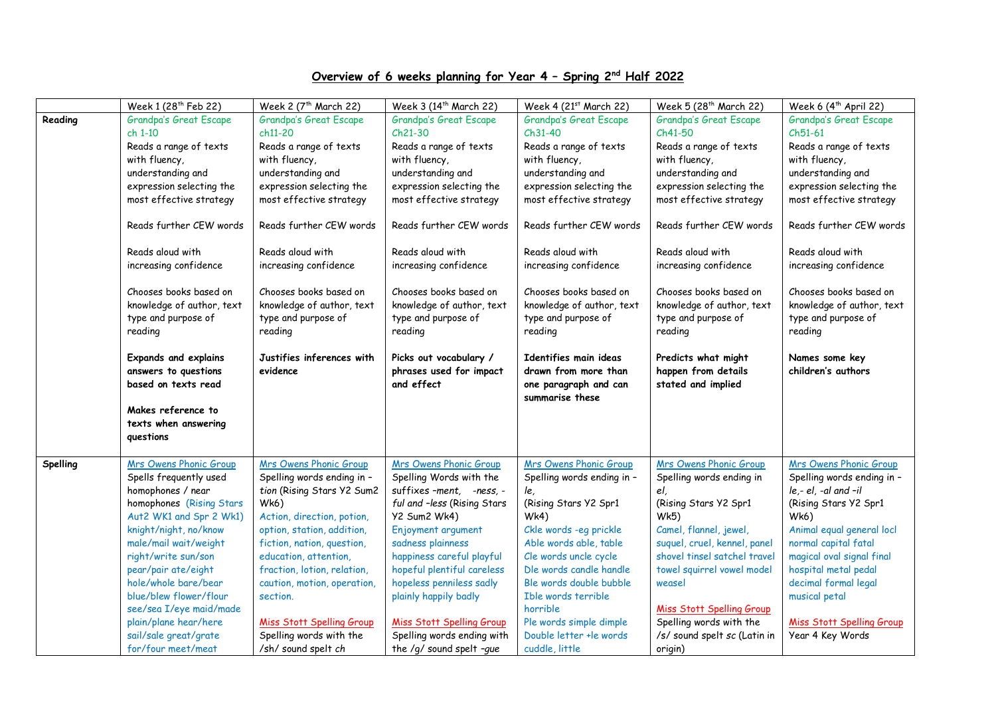## **Overview of 6 weeks planning for Year 4 – Spring 2 nd Half 2022**

|          | Week 1 (28 <sup>th</sup> Feb 22)                                           | Week 2 $(7th March 22)$                                                    | Week 3 (14 <sup>th</sup> March 22)                                         | Week 4 $(21st March 22)$                                                                  | Week 5 $(28th March 22)$                                                   | Week $6(4^{\text{th}}$ April 22)                                           |
|----------|----------------------------------------------------------------------------|----------------------------------------------------------------------------|----------------------------------------------------------------------------|-------------------------------------------------------------------------------------------|----------------------------------------------------------------------------|----------------------------------------------------------------------------|
| Reading  | Grandpa's Great Escape                                                     | Grandpa's Great Escape                                                     | Grandpa's Great Escape                                                     | Grandpa's Great Escape                                                                    | Grandpa's Great Escape                                                     | Grandpa's Great Escape                                                     |
|          | ch 1-10                                                                    | ch11-20                                                                    | Ch21-30                                                                    | $Ch31-40$                                                                                 | Ch41-50                                                                    | $Ch51-61$                                                                  |
|          | Reads a range of texts                                                     | Reads a range of texts                                                     | Reads a range of texts                                                     | Reads a range of texts                                                                    | Reads a range of texts                                                     | Reads a range of texts                                                     |
|          | with fluency,                                                              | with fluency,                                                              | with fluency,                                                              | with fluency,                                                                             | with fluency,                                                              | with fluency,                                                              |
|          | understanding and                                                          | understanding and                                                          | understanding and                                                          | understanding and                                                                         | understanding and                                                          | understanding and                                                          |
|          | expression selecting the                                                   | expression selecting the                                                   | expression selecting the                                                   | expression selecting the                                                                  | expression selecting the                                                   | expression selecting the                                                   |
|          | most effective strategy                                                    | most effective strategy                                                    | most effective strategy                                                    | most effective strategy                                                                   | most effective strategy                                                    | most effective strategy                                                    |
|          | Reads further CEW words                                                    | Reads further CEW words                                                    | Reads further CEW words                                                    | Reads further CEW words                                                                   | Reads further CEW words                                                    | Reads further CEW words                                                    |
|          | Reads aloud with                                                           | Reads aloud with                                                           | Reads aloud with                                                           | Reads aloud with                                                                          | Reads aloud with                                                           | Reads aloud with                                                           |
|          | increasing confidence                                                      | increasing confidence                                                      | increasing confidence                                                      | increasing confidence                                                                     | increasing confidence                                                      | increasing confidence                                                      |
|          | Chooses books based on<br>knowledge of author, text<br>type and purpose of | Chooses books based on<br>knowledge of author, text<br>type and purpose of | Chooses books based on<br>knowledge of author, text<br>type and purpose of | Chooses books based on<br>knowledge of author, text<br>type and purpose of                | Chooses books based on<br>knowledge of author, text<br>type and purpose of | Chooses books based on<br>knowledge of author, text<br>type and purpose of |
|          | reading                                                                    | reading                                                                    | reading                                                                    | reading                                                                                   | reading                                                                    | reading                                                                    |
|          | <b>Expands and explains</b><br>answers to questions<br>based on texts read | Justifies inferences with<br>evidence                                      | Picks out vocabulary /<br>phrases used for impact<br>and effect            | Identifies main ideas<br>drawn from more than<br>one paragraph and can<br>summarise these | Predicts what might<br>happen from details<br>stated and implied           | Names some key<br>children's authors                                       |
|          | Makes reference to<br>texts when answering<br>questions                    |                                                                            |                                                                            |                                                                                           |                                                                            |                                                                            |
| Spelling | Mrs Owens Phonic Group                                                     | <b>Mrs Owens Phonic Group</b>                                              | Mrs Owens Phonic Group                                                     | Mrs Owens Phonic Group                                                                    | <b>Mrs Owens Phonic Group</b>                                              | Mrs Owens Phonic Group                                                     |
|          | Spells frequently used                                                     | Spelling words ending in -                                                 | Spelling Words with the                                                    | Spelling words ending in -                                                                | Spelling words ending in                                                   | Spelling words ending in -                                                 |
|          | homophones / near                                                          | tion (Rising Stars Y2 Sum2                                                 | suffixes-ment, -ness, -                                                    | le,                                                                                       | el,                                                                        | $le,-el, -al$ and $-il$                                                    |
|          | homophones (Rising Stars                                                   | Wk6)                                                                       | ful and -less (Rising Stars                                                | (Rising Stars Y2 Spr1                                                                     | (Rising Stars Y2 Spr1                                                      | (Rising Stars Y2 Spr1                                                      |
|          | Aut2 WK1 and Spr 2 Wk1)                                                    | Action, direction, potion,                                                 | <b>Y2 Sum2 Wk4)</b>                                                        | Wk4)                                                                                      | Wk5)                                                                       | Wk6)                                                                       |
|          | knight/night, no/know                                                      | option, station, addition,                                                 | Enjoyment argument                                                         | Ckle words - eg prickle                                                                   | Camel, flannel, jewel,                                                     | Animal equal general locl                                                  |
|          | male/mail wait/weight                                                      | fiction, nation, question,                                                 | sadness plainness                                                          | Able words able, table                                                                    | suquel, cruel, kennel, panel                                               | normal capital fatal                                                       |
|          | right/write sun/son                                                        | education, attention,                                                      | happiness careful playful                                                  | Cle words uncle cycle                                                                     | shovel tinsel satchel travel                                               | magical oval signal final                                                  |
|          | pear/pair ate/eight                                                        | fraction, lotion, relation,                                                | hopeful plentiful careless                                                 | Dle words candle handle                                                                   | towel squirrel vowel model                                                 | hospital metal pedal                                                       |
|          | hole/whole bare/bear                                                       | caution, motion, operation,                                                | hopeless penniless sadly                                                   | Ble words double bubble                                                                   | weasel                                                                     | decimal formal legal                                                       |
|          | blue/blew flower/flour                                                     | section.                                                                   | plainly happily badly                                                      | Ible words terrible                                                                       |                                                                            | musical petal                                                              |
|          | see/sea I/eye maid/made                                                    |                                                                            |                                                                            | horrible                                                                                  | <b>Miss Stott Spelling Group</b>                                           |                                                                            |
|          | plain/plane hear/here                                                      | Miss Stott Spelling Group                                                  | Miss Stott Spelling Group                                                  | Ple words simple dimple                                                                   | Spelling words with the                                                    | <b>Miss Stott Spelling Group</b>                                           |
|          | sail/sale great/grate                                                      | Spelling words with the                                                    | Spelling words ending with                                                 | Double letter +le words                                                                   | /s/ sound spelt sc (Latin in                                               | Year 4 Key Words                                                           |
|          | for/four meet/meat                                                         | /sh/ sound spelt ch                                                        | the /q/ sound spelt -que                                                   | cuddle, little                                                                            | origin)                                                                    |                                                                            |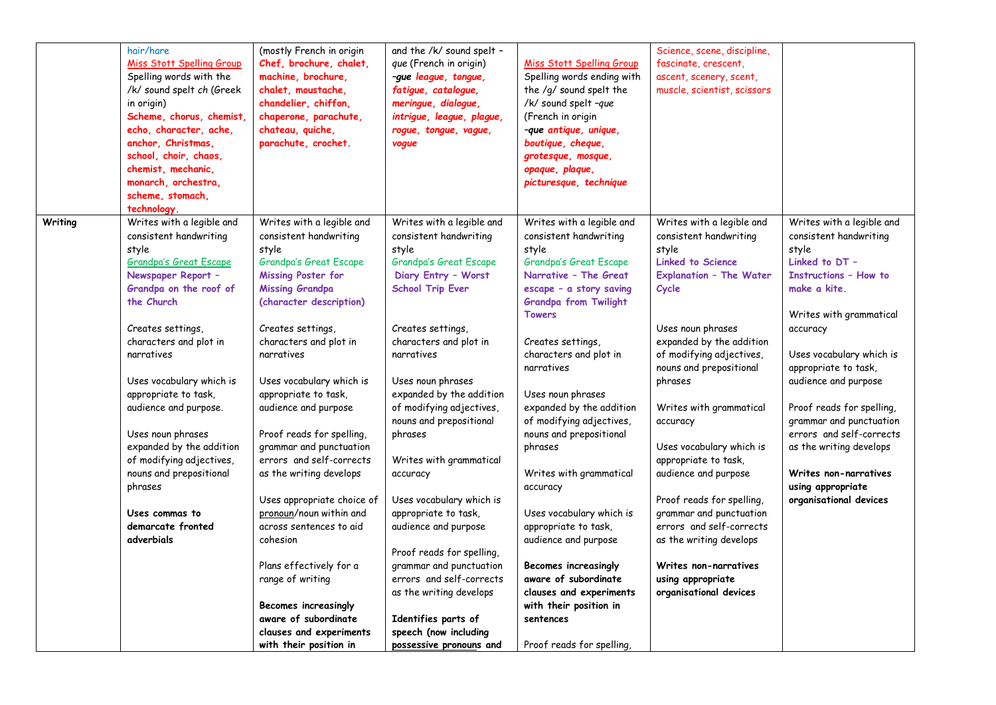|         | hair/hare                        | (mostly French in origin    | and the /k/ sound spelt - |                              | Science, scene, discipline,    |                              |
|---------|----------------------------------|-----------------------------|---------------------------|------------------------------|--------------------------------|------------------------------|
|         | <b>Miss Stott Spelling Group</b> | Chef, brochure, chalet,     | que (French in origin)    | Miss Stott Spelling Group    | fascinate, crescent,           |                              |
|         | Spelling words with the          | machine, brochure,          | -gue league, tongue,      | Spelling words ending with   | ascent, scenery, scent,        |                              |
|         | /k/ sound spelt ch (Greek        | chalet, moustache,          | fatigue, catalogue,       | the /g/ sound spelt the      | muscle, scientist, scissors    |                              |
|         | in origin)                       | chandelier, chiffon,        | meringue, dialogue,       | /k/ sound spelt -que         |                                |                              |
|         | Scheme, chorus, chemist,         | chaperone, parachute,       | intrigue, league, plague, | (French in origin            |                                |                              |
|         | echo, character, ache,           | chateau, quiche,            | rogue, tongue, vague,     | -que antique, unique,        |                                |                              |
|         | anchor, Christmas,               | parachute, crochet.         | vogue                     | boutique, cheque,            |                                |                              |
|         | school, choir, chaos,            |                             |                           | grotesque, mosque,           |                                |                              |
|         | chemist. mechanic.               |                             |                           | opaque, plaque,              |                                |                              |
|         | monarch, orchestra,              |                             |                           | picturesque, technique       |                                |                              |
|         | scheme, stomach,                 |                             |                           |                              |                                |                              |
|         | technology.                      |                             |                           |                              |                                |                              |
| Writing | Writes with a legible and        | Writes with a legible and   | Writes with a legible and | Writes with a legible and    | Writes with a legible and      | Writes with a legible and    |
|         | consistent handwriting           | consistent handwriting      | consistent handwriting    | consistent handwriting       | consistent handwriting         | consistent handwriting       |
|         | style                            | style                       | style                     | style                        | style                          | style                        |
|         | <b>Grandpa's Great Escape</b>    | Grandpa's Great Escape      | Grandpa's Great Escape    | Grandpa's Great Escape       | <b>Linked to Science</b>       | Linked to DT -               |
|         | Newspaper Report -               | Missing Poster for          | Diary Entry - Worst       | Narrative - The Great        | <b>Explanation - The Water</b> | <b>Instructions - How to</b> |
|         | Grandpa on the roof of           | <b>Missing Grandpa</b>      | <b>School Trip Ever</b>   | escape - a story saving      | Cycle                          | make a kite.                 |
|         | the Church                       | (character description)     |                           | <b>Grandpa from Twilight</b> |                                |                              |
|         |                                  |                             |                           | <b>Towers</b>                |                                | Writes with grammatical      |
|         | Creates settings,                | Creates settings,           | Creates settings,         |                              | Uses noun phrases              | accuracy                     |
|         | characters and plot in           | characters and plot in      | characters and plot in    | Creates settings,            | expanded by the addition       |                              |
|         | narratives                       | narratives                  | narratives                | characters and plot in       | of modifying adjectives,       | Uses vocabulary which is     |
|         |                                  |                             |                           | narratives                   | nouns and prepositional        | appropriate to task,         |
|         | Uses vocabulary which is         | Uses vocabulary which is    | Uses noun phrases         |                              | phrases                        | audience and purpose         |
|         | appropriate to task,             | appropriate to task,        | expanded by the addition  | Uses noun phrases            |                                |                              |
|         | audience and purpose.            | audience and purpose        | of modifying adjectives,  | expanded by the addition     | Writes with grammatical        | Proof reads for spelling,    |
|         |                                  |                             | nouns and prepositional   | of modifying adjectives,     | accuracy                       | grammar and punctuation      |
|         | Uses noun phrases                | Proof reads for spelling,   | phrases                   | nouns and prepositional      |                                | errors and self-corrects     |
|         | expanded by the addition         | grammar and punctuation     |                           | phrases                      | Uses vocabulary which is       | as the writing develops      |
|         | of modifying adjectives,         | errors and self-corrects    | Writes with grammatical   |                              | appropriate to task,           |                              |
|         | nouns and prepositional          | as the writing develops     | accuracy                  | Writes with grammatical      | audience and purpose           | Writes non-narratives        |
|         | phrases                          |                             |                           | accuracy                     |                                | using appropriate            |
|         |                                  | Uses appropriate choice of  | Uses vocabulary which is  |                              | Proof reads for spelling,      | organisational devices       |
|         | Uses commas to                   | pronoun/noun within and     | appropriate to task,      | Uses vocabulary which is     | grammar and punctuation        |                              |
|         | demarcate fronted                | across sentences to aid     | audience and purpose      | appropriate to task,         | errors and self-corrects       |                              |
|         | adverbials                       | cohesion                    |                           | audience and purpose         | as the writing develops        |                              |
|         |                                  |                             | Proof reads for spelling, |                              |                                |                              |
|         |                                  | Plans effectively for a     | grammar and punctuation   | Becomes increasingly         | <b>Writes non-narratives</b>   |                              |
|         |                                  | range of writing            | errors and self-corrects  | aware of subordinate         | using appropriate              |                              |
|         |                                  |                             | as the writing develops   | clauses and experiments      | organisational devices         |                              |
|         |                                  | <b>Becomes increasingly</b> |                           | with their position in       |                                |                              |
|         |                                  | aware of subordinate        | Identifies parts of       | sentences                    |                                |                              |
|         |                                  | clauses and experiments     | speech (now including     |                              |                                |                              |
|         |                                  | with their position in      | possessive pronouns and   | Proof reads for spelling,    |                                |                              |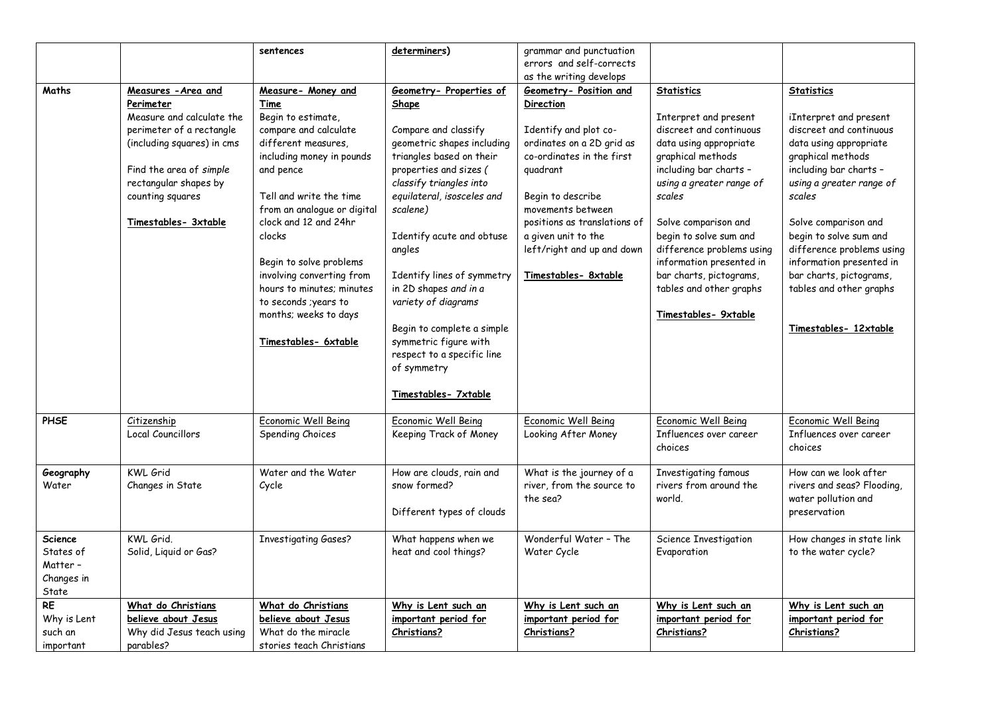|                                                                |                                                                                                                                                                                                                         | sentences                                                                                                                                                                                                                                                                                                                                                                                              | determiners)                                                                                                                                                                                                                                                                                                                                                                                                                                                       | grammar and punctuation                                                                                                                                                                                                                                                                                 |                                                                                                                                                                                                                                                                                                                                                                               |                                                                                                                                                                                                                                                                                                                                                                                 |
|----------------------------------------------------------------|-------------------------------------------------------------------------------------------------------------------------------------------------------------------------------------------------------------------------|--------------------------------------------------------------------------------------------------------------------------------------------------------------------------------------------------------------------------------------------------------------------------------------------------------------------------------------------------------------------------------------------------------|--------------------------------------------------------------------------------------------------------------------------------------------------------------------------------------------------------------------------------------------------------------------------------------------------------------------------------------------------------------------------------------------------------------------------------------------------------------------|---------------------------------------------------------------------------------------------------------------------------------------------------------------------------------------------------------------------------------------------------------------------------------------------------------|-------------------------------------------------------------------------------------------------------------------------------------------------------------------------------------------------------------------------------------------------------------------------------------------------------------------------------------------------------------------------------|---------------------------------------------------------------------------------------------------------------------------------------------------------------------------------------------------------------------------------------------------------------------------------------------------------------------------------------------------------------------------------|
|                                                                |                                                                                                                                                                                                                         |                                                                                                                                                                                                                                                                                                                                                                                                        |                                                                                                                                                                                                                                                                                                                                                                                                                                                                    | errors and self-corrects                                                                                                                                                                                                                                                                                |                                                                                                                                                                                                                                                                                                                                                                               |                                                                                                                                                                                                                                                                                                                                                                                 |
|                                                                |                                                                                                                                                                                                                         |                                                                                                                                                                                                                                                                                                                                                                                                        |                                                                                                                                                                                                                                                                                                                                                                                                                                                                    | as the writing develops                                                                                                                                                                                                                                                                                 |                                                                                                                                                                                                                                                                                                                                                                               |                                                                                                                                                                                                                                                                                                                                                                                 |
| Maths                                                          | Measures - Area and<br>Perimeter<br>Measure and calculate the<br>perimeter of a rectangle<br>(including squares) in cms<br>Find the area of simple<br>rectangular shapes by<br>counting squares<br>Timestables- 3xtable | Measure- Money and<br>Time<br>Begin to estimate,<br>compare and calculate<br>different measures.<br>including money in pounds<br>and pence<br>Tell and write the time<br>from an analogue or digital<br>clock and 12 and 24hr<br>clocks<br>Begin to solve problems<br>involving converting from<br>hours to minutes; minutes<br>to seconds ; years to<br>months; weeks to days<br>Timestables- 6xtable | Geometry- Properties of<br>Shape<br>Compare and classify<br>geometric shapes including<br>triangles based on their<br>properties and sizes (<br>classify triangles into<br>equilateral, isosceles and<br>scalene)<br>Identify acute and obtuse<br>angles<br>Identify lines of symmetry<br>in 2D shapes and in a<br>variety of diagrams<br>Begin to complete a simple<br>symmetric figure with<br>respect to a specific line<br>of symmetry<br>Timestables- 7xtable | <b>Geometry- Position and</b><br><b>Direction</b><br>Identify and plot co-<br>ordinates on a 2D grid as<br>co-ordinates in the first<br>quadrant<br>Begin to describe<br>movements between<br>positions as translations of<br>a given unit to the<br>left/right and up and down<br>Timestables- 8xtable | <b>Statistics</b><br>Interpret and present<br>discreet and continuous<br>data using appropriate<br>graphical methods<br>including bar charts -<br>using a greater range of<br>scales<br>Solve comparison and<br>begin to solve sum and<br>difference problems using<br>information presented in<br>bar charts, pictograms,<br>tables and other graphs<br>Timestables- 9xtable | <b>Statistics</b><br>iInterpret and present<br>discreet and continuous<br>data using appropriate<br>graphical methods<br>including bar charts -<br>using a greater range of<br>scales<br>Solve comparison and<br>begin to solve sum and<br>difference problems using<br>information presented in<br>bar charts, pictograms,<br>tables and other graphs<br>Timestables- 12xtable |
| <b>PHSE</b>                                                    | <b>Citizenship</b><br>Local Councillors                                                                                                                                                                                 | Economic Well Being<br>Spending Choices                                                                                                                                                                                                                                                                                                                                                                | Economic Well Being<br>Keeping Track of Money                                                                                                                                                                                                                                                                                                                                                                                                                      | Economic Well Being<br>Looking After Money                                                                                                                                                                                                                                                              | Economic Well Being<br>Influences over career<br>choices                                                                                                                                                                                                                                                                                                                      | Economic Well Being<br>Influences over career<br>choices                                                                                                                                                                                                                                                                                                                        |
| Geography<br>Water                                             | <b>KWL Grid</b><br>Changes in State                                                                                                                                                                                     | Water and the Water<br>Cycle                                                                                                                                                                                                                                                                                                                                                                           | How are clouds, rain and<br>snow formed?<br>Different types of clouds                                                                                                                                                                                                                                                                                                                                                                                              | What is the journey of a<br>river, from the source to<br>the sea?                                                                                                                                                                                                                                       | Investigating famous<br>rivers from around the<br>world.                                                                                                                                                                                                                                                                                                                      | How can we look after<br>rivers and seas? Flooding,<br>water pollution and<br>preservation                                                                                                                                                                                                                                                                                      |
| <b>Science</b><br>States of<br>Matter -<br>Changes in<br>State | KWL Grid.<br>Solid, Liquid or Gas?                                                                                                                                                                                      | <b>Investigating Gases?</b>                                                                                                                                                                                                                                                                                                                                                                            | What happens when we<br>heat and cool things?                                                                                                                                                                                                                                                                                                                                                                                                                      | Wonderful Water - The<br>Water Cycle                                                                                                                                                                                                                                                                    | Science Investigation<br>Evaporation                                                                                                                                                                                                                                                                                                                                          | How changes in state link<br>to the water cycle?                                                                                                                                                                                                                                                                                                                                |
| <b>RE</b><br>Why is Lent<br>such an<br>important               | What do Christians<br>believe about Jesus<br>Why did Jesus teach using<br>parables?                                                                                                                                     | What do Christians<br>believe about Jesus<br>What do the miracle<br>stories teach Christians                                                                                                                                                                                                                                                                                                           | Why is Lent such an<br>important period for<br>Christians?                                                                                                                                                                                                                                                                                                                                                                                                         | Why is Lent such an<br>important period for<br>Christians?                                                                                                                                                                                                                                              | Why is Lent such an<br>important period for<br><b>Christians?</b>                                                                                                                                                                                                                                                                                                             | Why is Lent such an<br>important period for<br><b>Christians?</b>                                                                                                                                                                                                                                                                                                               |